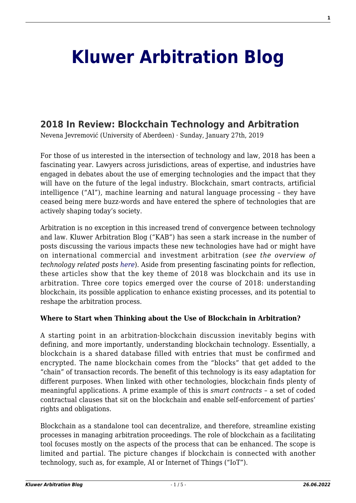# **[Kluwer Arbitration Blog](http://arbitrationblog.kluwerarbitration.com/)**

# **[2018 In Review: Blockchain Technology and Arbitration](http://arbitrationblog.kluwerarbitration.com/2019/01/27/2018-in-review-blockchain-technology-and-arbitration/)**

Nevena Jevremović (University of Aberdeen) · Sunday, January 27th, 2019

For those of us interested in the intersection of technology and law, 2018 has been a fascinating year. Lawyers across jurisdictions, areas of expertise, and industries have engaged in debates about the use of emerging technologies and the impact that they will have on the future of the legal industry. Blockchain, smart contracts, artificial intelligence ("AI"), machine learning and natural language processing – they have ceased being mere buzz-words and have entered the sphere of technologies that are actively shaping today's society.

Arbitration is no exception in this increased trend of convergence between technology and law. Kluwer Arbitration Blog ("KAB") has seen a stark increase in the number of posts discussing the various impacts these new technologies have had or might have on international commercial and investment arbitration (*see the overview of technology related posts [here](http://arbitrationblog.kluwerarbitration.com/?s=technology)*). Aside from presenting fascinating points for reflection, these articles show that the key theme of 2018 was blockchain and its use in arbitration. Three core topics emerged over the course of 2018: understanding blockchain, its possible application to enhance existing processes, and its potential to reshape the arbitration process.

## **Where to Start when Thinking about the Use of Blockchain in Arbitration?**

A starting point in an arbitration-blockchain discussion inevitably begins with defining, and more importantly, understanding blockchain technology. Essentially, a blockchain is a shared database filled with entries that must be confirmed and encrypted. The name blockchain comes from the "blocks" that get added to the "chain" of transaction records. The benefit of this technology is its easy adaptation for different purposes. When linked with other technologies, blockchain finds plenty of meaningful applications. A prime example of this is *smart contracts* – a set of coded contractual clauses that sit on the blockchain and enable self-enforcement of parties' rights and obligations.

Blockchain as a standalone tool can decentralize, and therefore, streamline existing processes in managing arbitration proceedings. The role of blockchain as a facilitating tool focuses mostly on the aspects of the process that can be enhanced. The scope is limited and partial. The picture changes if blockchain is connected with another technology, such as, for example, AI or Internet of Things ("IoT").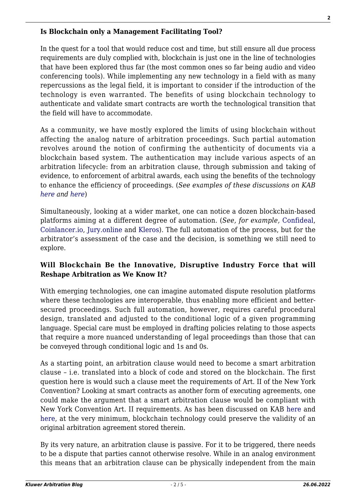#### **Is Blockchain only a Management Facilitating Tool?**

In the quest for a tool that would reduce cost and time, but still ensure all due process requirements are duly complied with, blockchain is just one in the line of technologies that have been explored thus far (the most common ones so far being audio and video conferencing tools). While implementing any new technology in a field with as many repercussions as the legal field, it is important to consider if the introduction of the technology is even warranted. The benefits of using blockchain technology to authenticate and validate smart contracts are worth the technological transition that the field will have to accommodate.

As a community, we have mostly explored the limits of using blockchain without affecting the analog nature of arbitration proceedings. Such partial automation revolves around the notion of confirming the authenticity of documents via a blockchain based system. The authentication may include various aspects of an arbitration lifecycle: from an arbitration clause, through submission and taking of evidence, to enforcement of arbitral awards, each using the benefits of the technology to enhance the efficiency of proceedings. (*See examples of these discussions on KAB [here](http://arbitrationblog.kluwerarbitration.com/2018/07/26/reputation-arbitration-building-decentralized-reputation-system-arbitrators/) and [here](http://arbitrationblog.kluwerarbitration.com/2018/04/20/blockchain-help-recognition-international-arbitration-awards/)*)

Simultaneously, looking at a wider market, one can notice a dozen blockchain-based platforms aiming at a different degree of automation. (*See, for example,* [Confideal](https://confideal.io/), [Coinlancer.io](https://www.coinlancer.io/), [Jury.online](https://jury.online/) and [Kleros](https://kleros.io/)). The full automation of the process, but for the arbitrator's assessment of the case and the decision, is something we still need to explore.

### **Will Blockchain Be the Innovative, Disruptive Industry Force that will Reshape Arbitration as We Know It?**

With emerging technologies, one can imagine automated dispute resolution platforms where these technologies are interoperable, thus enabling more efficient and bettersecured proceedings. Such full automation, however, requires careful procedural design, translated and adjusted to the conditional logic of a given programming language. Special care must be employed in drafting policies relating to those aspects that require a more nuanced understanding of legal proceedings than those that can be conveyed through conditional logic and 1s and 0s.

As a starting point, an arbitration clause would need to become a smart arbitration clause – i.e. translated into a block of code and stored on the blockchain. The first question here is would such a clause meet the requirements of Art. II of the New York Convention? Looking at smart contracts as another form of executing agreements, one could make the argument that a smart arbitration clause would be compliant with New York Convention Art. II requirements. As has been discussed on KAB [here](http://arbitrationblog.kluwerarbitration.com/2018/10/09/blockchain-adr-bringing-international-arbitration-new-age/) and [here](http://arbitrationblog.kluwerarbitration.com/2018/08/27/arbitration-smart-contracts-part-2/), at the very minimum, blockchain technology could preserve the validity of an original arbitration agreement stored therein.

By its very nature, an arbitration clause is passive. For it to be triggered, there needs to be a dispute that parties cannot otherwise resolve. While in an analog environment this means that an arbitration clause can be physically independent from the main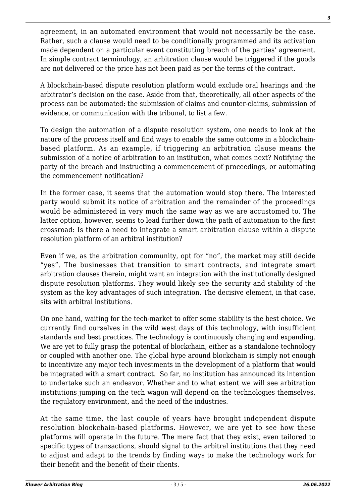agreement, in an automated environment that would not necessarily be the case. Rather, such a clause would need to be conditionally programmed and its activation made dependent on a particular event constituting breach of the parties' agreement. In simple contract terminology, an arbitration clause would be triggered if the goods are not delivered or the price has not been paid as per the terms of the contract.

A blockchain-based dispute resolution platform would exclude oral hearings and the arbitrator's decision on the case. Aside from that, theoretically, all other aspects of the process can be automated: the submission of claims and counter-claims, submission of evidence, or communication with the tribunal, to list a few.

To design the automation of a dispute resolution system, one needs to look at the nature of the process itself and find ways to enable the same outcome in a blockchainbased platform. As an example, if triggering an arbitration clause means the submission of a notice of arbitration to an institution, what comes next? Notifying the party of the breach and instructing a commencement of proceedings, or automating the commencement notification?

In the former case, it seems that the automation would stop there. The interested party would submit its notice of arbitration and the remainder of the proceedings would be administered in very much the same way as we are accustomed to. The latter option, however, seems to lead further down the path of automation to the first crossroad: Is there a need to integrate a smart arbitration clause within a dispute resolution platform of an arbitral institution?

Even if we, as the arbitration community, opt for "no", the market may still decide "yes". The businesses that transition to smart contracts, and integrate smart arbitration clauses therein, might want an integration with the institutionally designed dispute resolution platforms. They would likely see the security and stability of the system as the key advantages of such integration. The decisive element, in that case, sits with arbitral institutions.

On one hand, waiting for the tech-market to offer some stability is the best choice. We currently find ourselves in the wild west days of this technology, with insufficient standards and best practices. The technology is continuously changing and expanding. We are yet to fully grasp the potential of blockchain, either as a standalone technology or coupled with another one. The global hype around blockchain is simply not enough to incentivize any major tech investments in the development of a platform that would be integrated with a smart contract. So far, no institution has announced its intention to undertake such an endeavor. Whether and to what extent we will see arbitration institutions jumping on the tech wagon will depend on the technologies themselves, the regulatory environment, and the need of the industries.

At the same time, the last couple of years have brought independent dispute resolution blockchain-based platforms. However, we are yet to see how these platforms will operate in the future. The mere fact that they exist, even tailored to specific types of transactions, should signal to the arbitral institutions that they need to adjust and adapt to the trends by finding ways to make the technology work for their benefit and the benefit of their clients.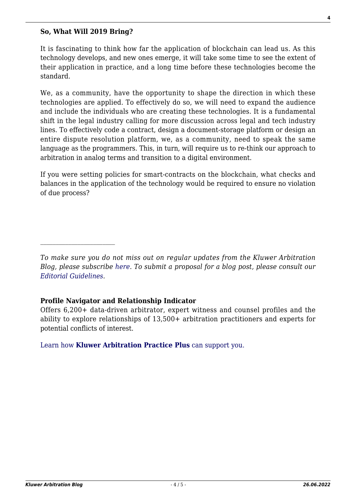#### **So, What Will 2019 Bring?**

It is fascinating to think how far the application of blockchain can lead us. As this technology develops, and new ones emerge, it will take some time to see the extent of their application in practice, and a long time before these technologies become the standard.

We, as a community, have the opportunity to shape the direction in which these technologies are applied. To effectively do so, we will need to expand the audience and include the individuals who are creating these technologies. It is a fundamental shift in the legal industry calling for more discussion across legal and tech industry lines. To effectively code a contract, design a document-storage platform or design an entire dispute resolution platform, we, as a community, need to speak the same language as the programmers. This, in turn, will require us to re-think our approach to arbitration in analog terms and transition to a digital environment.

If you were setting policies for smart-contracts on the blockchain, what checks and balances in the application of the technology would be required to ensure no violation of due process?

#### **Profile Navigator and Relationship Indicator**

Offers 6,200+ data-driven arbitrator, expert witness and counsel profiles and the ability to explore relationships of 13,500+ arbitration practitioners and experts for potential conflicts of interest.

[Learn how](https://www.wolterskluwer.com/en/solutions/kluwerarbitration/practiceplus?utm_source=arbitrationblog&utm_medium=articleCTA&utm_campaign=article-banner) **[Kluwer Arbitration Practice Plus](https://www.wolterskluwer.com/en/solutions/kluwerarbitration/practiceplus?utm_source=arbitrationblog&utm_medium=articleCTA&utm_campaign=article-banner)** [can support you.](https://www.wolterskluwer.com/en/solutions/kluwerarbitration/practiceplus?utm_source=arbitrationblog&utm_medium=articleCTA&utm_campaign=article-banner)

*To make sure you do not miss out on regular updates from the Kluwer Arbitration Blog, please subscribe [here](http://arbitrationblog.kluwerarbitration.com/newsletter/). To submit a proposal for a blog post, please consult our [Editorial Guidelines.](http://arbitrationblog.kluwerarbitration.com/editorial-guidelines/)*